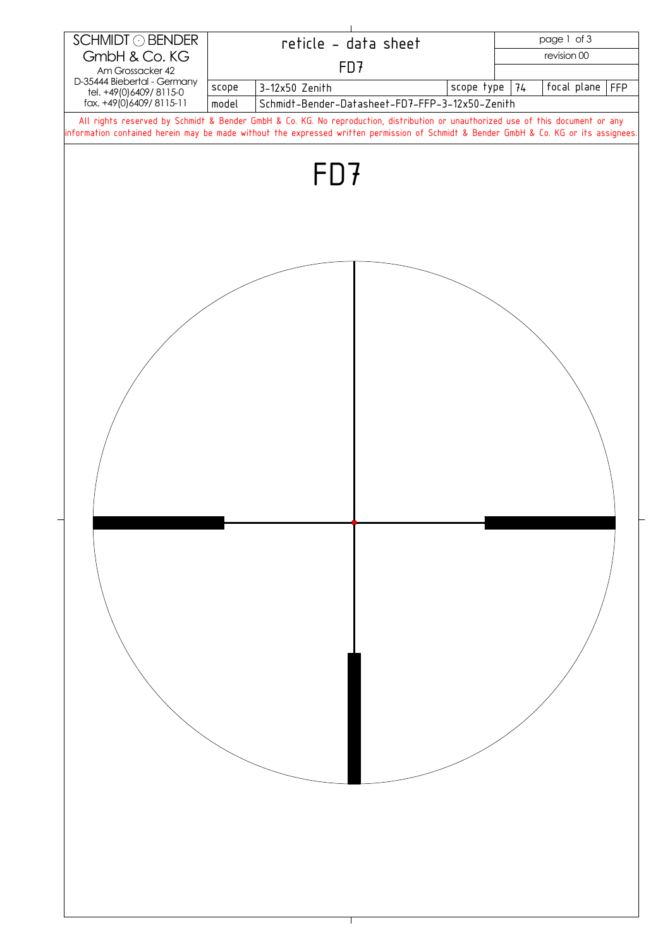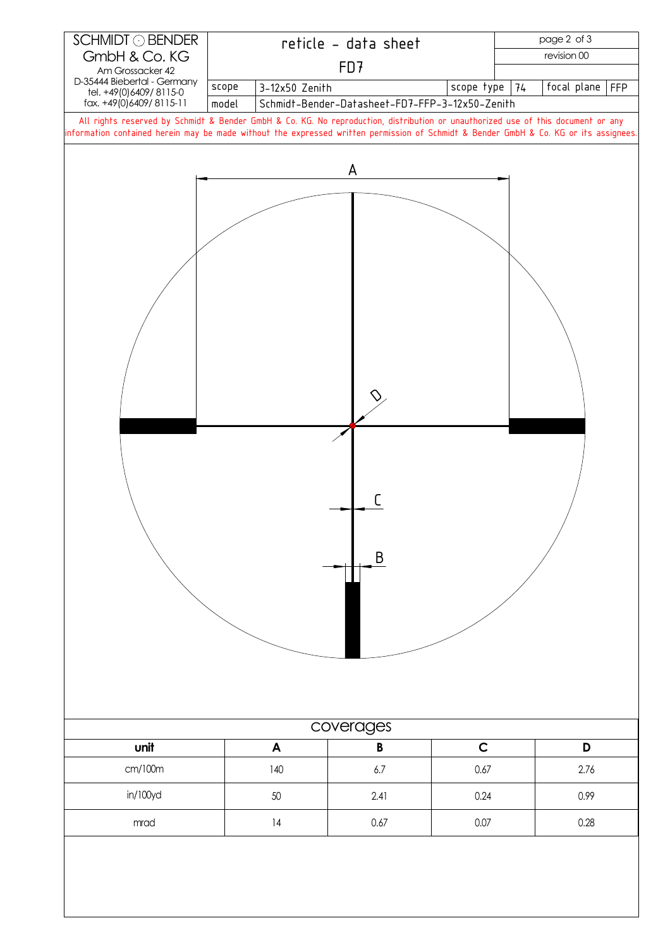